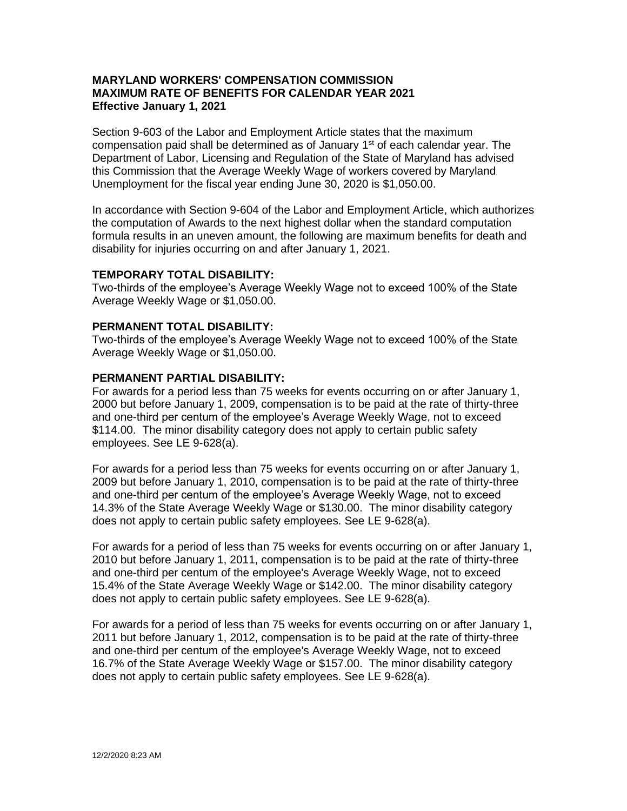## **MARYLAND WORKERS' COMPENSATION COMMISSION MAXIMUM RATE OF BENEFITS FOR CALENDAR YEAR 2021 Effective January 1, 2021**

Section 9-603 of the Labor and Employment Article states that the maximum compensation paid shall be determined as of January 1<sup>st</sup> of each calendar year. The Department of Labor, Licensing and Regulation of the State of Maryland has advised this Commission that the Average Weekly Wage of workers covered by Maryland Unemployment for the fiscal year ending June 30, 2020 is \$1,050.00.

In accordance with Section 9-604 of the Labor and Employment Article, which authorizes the computation of Awards to the next highest dollar when the standard computation formula results in an uneven amount, the following are maximum benefits for death and disability for injuries occurring on and after January 1, 2021.

## **TEMPORARY TOTAL DISABILITY:**

Two-thirds of the employee's Average Weekly Wage not to exceed 100% of the State Average Weekly Wage or \$1,050.00.

## **PERMANENT TOTAL DISABILITY:**

Two-thirds of the employee's Average Weekly Wage not to exceed 100% of the State Average Weekly Wage or \$1,050.00.

## **PERMANENT PARTIAL DISABILITY:**

For awards for a period less than 75 weeks for events occurring on or after January 1, 2000 but before January 1, 2009, compensation is to be paid at the rate of thirty-three and one-third per centum of the employee's Average Weekly Wage, not to exceed \$114.00. The minor disability category does not apply to certain public safety employees. See LE 9-628(a).

For awards for a period less than 75 weeks for events occurring on or after January 1, 2009 but before January 1, 2010, compensation is to be paid at the rate of thirty-three and one-third per centum of the employee's Average Weekly Wage, not to exceed 14.3% of the State Average Weekly Wage or \$130.00. The minor disability category does not apply to certain public safety employees. See LE 9-628(a).

For awards for a period of less than 75 weeks for events occurring on or after January 1, 2010 but before January 1, 2011, compensation is to be paid at the rate of thirty-three and one-third per centum of the employee's Average Weekly Wage, not to exceed 15.4% of the State Average Weekly Wage or \$142.00. The minor disability category does not apply to certain public safety employees. See LE 9-628(a).

For awards for a period of less than 75 weeks for events occurring on or after January 1, 2011 but before January 1, 2012, compensation is to be paid at the rate of thirty-three and one-third per centum of the employee's Average Weekly Wage, not to exceed 16.7% of the State Average Weekly Wage or \$157.00. The minor disability category does not apply to certain public safety employees. See LE 9-628(a).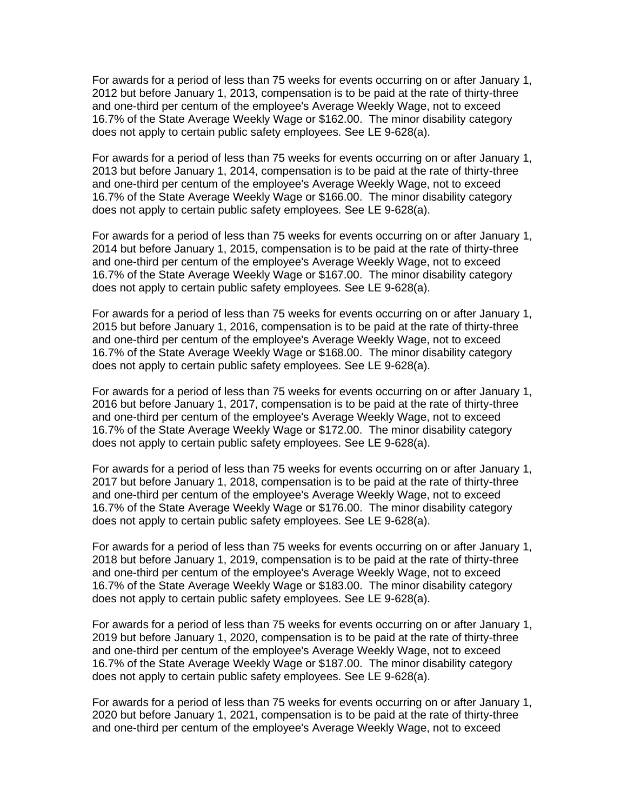For awards for a period of less than 75 weeks for events occurring on or after January 1, 2012 but before January 1, 2013, compensation is to be paid at the rate of thirty-three and one-third per centum of the employee's Average Weekly Wage, not to exceed 16.7% of the State Average Weekly Wage or \$162.00. The minor disability category does not apply to certain public safety employees. See LE 9-628(a).

For awards for a period of less than 75 weeks for events occurring on or after January 1, 2013 but before January 1, 2014, compensation is to be paid at the rate of thirty-three and one-third per centum of the employee's Average Weekly Wage, not to exceed 16.7% of the State Average Weekly Wage or \$166.00. The minor disability category does not apply to certain public safety employees. See LE 9-628(a).

For awards for a period of less than 75 weeks for events occurring on or after January 1, 2014 but before January 1, 2015, compensation is to be paid at the rate of thirty-three and one-third per centum of the employee's Average Weekly Wage, not to exceed 16.7% of the State Average Weekly Wage or \$167.00. The minor disability category does not apply to certain public safety employees. See LE 9-628(a).

For awards for a period of less than 75 weeks for events occurring on or after January 1, 2015 but before January 1, 2016, compensation is to be paid at the rate of thirty-three and one-third per centum of the employee's Average Weekly Wage, not to exceed 16.7% of the State Average Weekly Wage or \$168.00. The minor disability category does not apply to certain public safety employees. See LE 9-628(a).

For awards for a period of less than 75 weeks for events occurring on or after January 1, 2016 but before January 1, 2017, compensation is to be paid at the rate of thirty-three and one-third per centum of the employee's Average Weekly Wage, not to exceed 16.7% of the State Average Weekly Wage or \$172.00. The minor disability category does not apply to certain public safety employees. See LE 9-628(a).

For awards for a period of less than 75 weeks for events occurring on or after January 1, 2017 but before January 1, 2018, compensation is to be paid at the rate of thirty-three and one-third per centum of the employee's Average Weekly Wage, not to exceed 16.7% of the State Average Weekly Wage or \$176.00. The minor disability category does not apply to certain public safety employees. See LE 9-628(a).

For awards for a period of less than 75 weeks for events occurring on or after January 1, 2018 but before January 1, 2019, compensation is to be paid at the rate of thirty-three and one-third per centum of the employee's Average Weekly Wage, not to exceed 16.7% of the State Average Weekly Wage or \$183.00. The minor disability category does not apply to certain public safety employees. See LE 9-628(a).

For awards for a period of less than 75 weeks for events occurring on or after January 1, 2019 but before January 1, 2020, compensation is to be paid at the rate of thirty-three and one-third per centum of the employee's Average Weekly Wage, not to exceed 16.7% of the State Average Weekly Wage or \$187.00. The minor disability category does not apply to certain public safety employees. See LE 9-628(a).

For awards for a period of less than 75 weeks for events occurring on or after January 1, 2020 but before January 1, 2021, compensation is to be paid at the rate of thirty-three and one-third per centum of the employee's Average Weekly Wage, not to exceed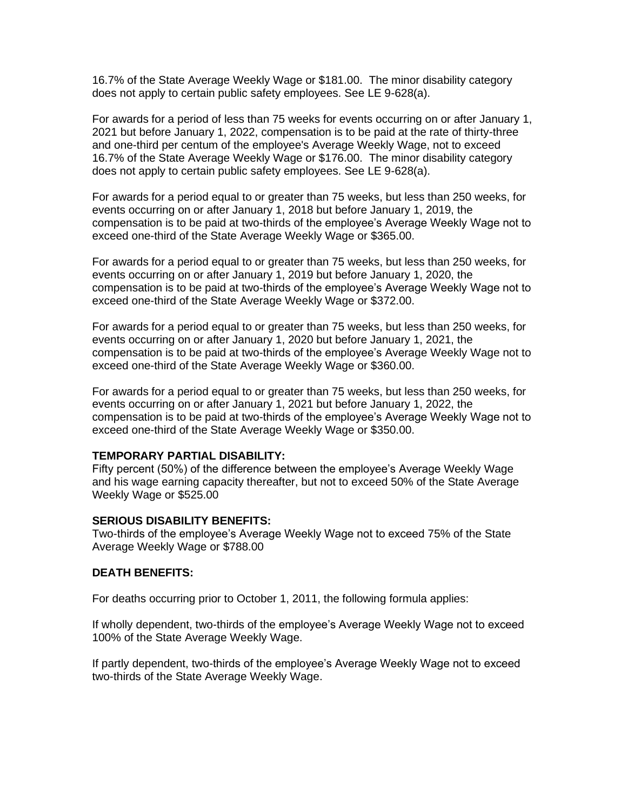16.7% of the State Average Weekly Wage or \$181.00. The minor disability category does not apply to certain public safety employees. See LE 9-628(a).

For awards for a period of less than 75 weeks for events occurring on or after January 1, 2021 but before January 1, 2022, compensation is to be paid at the rate of thirty-three and one-third per centum of the employee's Average Weekly Wage, not to exceed 16.7% of the State Average Weekly Wage or \$176.00. The minor disability category does not apply to certain public safety employees. See LE 9-628(a).

For awards for a period equal to or greater than 75 weeks, but less than 250 weeks, for events occurring on or after January 1, 2018 but before January 1, 2019, the compensation is to be paid at two-thirds of the employee's Average Weekly Wage not to exceed one-third of the State Average Weekly Wage or \$365.00.

For awards for a period equal to or greater than 75 weeks, but less than 250 weeks, for events occurring on or after January 1, 2019 but before January 1, 2020, the compensation is to be paid at two-thirds of the employee's Average Weekly Wage not to exceed one-third of the State Average Weekly Wage or \$372.00.

For awards for a period equal to or greater than 75 weeks, but less than 250 weeks, for events occurring on or after January 1, 2020 but before January 1, 2021, the compensation is to be paid at two-thirds of the employee's Average Weekly Wage not to exceed one-third of the State Average Weekly Wage or \$360.00.

For awards for a period equal to or greater than 75 weeks, but less than 250 weeks, for events occurring on or after January 1, 2021 but before January 1, 2022, the compensation is to be paid at two-thirds of the employee's Average Weekly Wage not to exceed one-third of the State Average Weekly Wage or \$350.00.

# **TEMPORARY PARTIAL DISABILITY:**

Fifty percent (50%) of the difference between the employee's Average Weekly Wage and his wage earning capacity thereafter, but not to exceed 50% of the State Average Weekly Wage or \$525.00

#### **SERIOUS DISABILITY BENEFITS:**

Two-thirds of the employee's Average Weekly Wage not to exceed 75% of the State Average Weekly Wage or \$788.00

#### **DEATH BENEFITS:**

For deaths occurring prior to October 1, 2011, the following formula applies:

If wholly dependent, two-thirds of the employee's Average Weekly Wage not to exceed 100% of the State Average Weekly Wage.

If partly dependent, two-thirds of the employee's Average Weekly Wage not to exceed two-thirds of the State Average Weekly Wage.